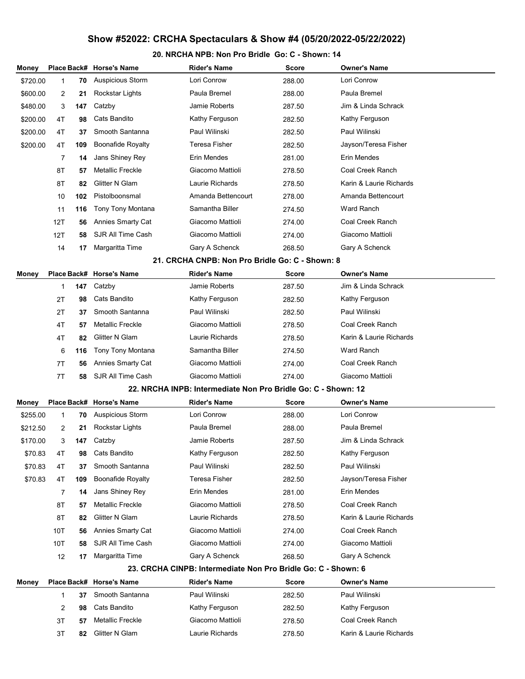## Show #52022: CRCHA Spectaculars & Show #4 (05/20/2022-05/22/2022)

## 20. NRCHA NPB: Non Pro Bridle Go: C - Shown: 14

| Money    |                                                               |     | Place Back# Horse's Name | <b>Rider's Name</b>                                           | Score        | <b>Owner's Name</b>     |  |  |  |  |  |
|----------|---------------------------------------------------------------|-----|--------------------------|---------------------------------------------------------------|--------------|-------------------------|--|--|--|--|--|
| \$720.00 | 1                                                             | 70  | <b>Auspicious Storm</b>  | Lori Conrow                                                   | 288.00       | Lori Conrow             |  |  |  |  |  |
| \$600.00 | 2                                                             | 21  | Rockstar Lights          | Paula Bremel                                                  | 288.00       | Paula Bremel            |  |  |  |  |  |
| \$480.00 | 3                                                             | 147 | Catzby                   | <b>Jamie Roberts</b>                                          | 287.50       | Jim & Linda Schrack     |  |  |  |  |  |
| \$200.00 | 4T                                                            | 98  | Cats Bandito             | Kathy Ferguson                                                | 282.50       | Kathy Ferguson          |  |  |  |  |  |
| \$200.00 | 4T                                                            | 37  | Smooth Santanna          | Paul Wilinski                                                 | 282.50       | Paul Wilinski           |  |  |  |  |  |
| \$200.00 | 4T                                                            | 109 | <b>Boonafide Royalty</b> | <b>Teresa Fisher</b>                                          | 282.50       | Jayson/Teresa Fisher    |  |  |  |  |  |
|          | 7                                                             | 14  | Jans Shiney Rey          | Erin Mendes                                                   | 281.00       | Erin Mendes             |  |  |  |  |  |
|          | 8T                                                            | 57  | <b>Metallic Freckle</b>  | Giacomo Mattioli                                              | 278.50       | Coal Creek Ranch        |  |  |  |  |  |
|          | 8T                                                            | 82  | Glitter N Glam           | Laurie Richards                                               | 278.50       | Karin & Laurie Richards |  |  |  |  |  |
|          | 10                                                            | 102 | Pistolboonsmal           | Amanda Bettencourt                                            | 278.00       | Amanda Bettencourt      |  |  |  |  |  |
|          | 11                                                            | 116 | Tony Tony Montana        | Samantha Biller                                               | 274.50       | <b>Ward Ranch</b>       |  |  |  |  |  |
|          | 12T                                                           | 56  | <b>Annies Smarty Cat</b> | Giacomo Mattioli                                              | 274.00       | Coal Creek Ranch        |  |  |  |  |  |
|          | 12T                                                           | 58  | SJR All Time Cash        | Giacomo Mattioli                                              | 274.00       | Giacomo Mattioli        |  |  |  |  |  |
|          | 14                                                            | 17  | Margaritta Time          | Gary A Schenck                                                | 268.50       | Gary A Schenck          |  |  |  |  |  |
|          |                                                               |     |                          | 21. CRCHA CNPB: Non Pro Bridle Go: C - Shown: 8               |              |                         |  |  |  |  |  |
| Money    |                                                               |     | Place Back# Horse's Name | <b>Rider's Name</b>                                           | Score        | <b>Owner's Name</b>     |  |  |  |  |  |
|          | 1                                                             | 147 | Catzby                   | <b>Jamie Roberts</b>                                          | 287.50       | Jim & Linda Schrack     |  |  |  |  |  |
|          | 2T                                                            | 98  | Cats Bandito             | Kathy Ferguson                                                | 282.50       | Kathy Ferguson          |  |  |  |  |  |
|          | 2T                                                            | 37  | Smooth Santanna          | Paul Wilinski                                                 | 282.50       | Paul Wilinski           |  |  |  |  |  |
|          | 4T                                                            | 57  | <b>Metallic Freckle</b>  | Giacomo Mattioli                                              | 278.50       | Coal Creek Ranch        |  |  |  |  |  |
|          | 4T                                                            | 82  | Glitter N Glam           | Laurie Richards                                               | 278.50       | Karin & Laurie Richards |  |  |  |  |  |
|          | 6                                                             | 116 | Tony Tony Montana        | Samantha Biller                                               | 274.50       | Ward Ranch              |  |  |  |  |  |
|          | 7T                                                            | 56  | <b>Annies Smarty Cat</b> | Giacomo Mattioli                                              | 274.00       | Coal Creek Ranch        |  |  |  |  |  |
|          | 7T                                                            | 58  | SJR All Time Cash        | Giacomo Mattioli                                              | 274.00       | Giacomo Mattioli        |  |  |  |  |  |
|          |                                                               |     |                          | 22. NRCHA INPB: Intermediate Non Pro Bridle Go: C - Shown: 12 |              |                         |  |  |  |  |  |
| Money    |                                                               |     | Place Back# Horse's Name | <b>Rider's Name</b>                                           | <b>Score</b> | <b>Owner's Name</b>     |  |  |  |  |  |
| \$255.00 | 1                                                             | 70  | <b>Auspicious Storm</b>  | Lori Conrow                                                   | 288.00       | Lori Conrow             |  |  |  |  |  |
| \$212.50 | 2                                                             | 21  | Rockstar Lights          | Paula Bremel                                                  | 288.00       | Paula Bremel            |  |  |  |  |  |
| \$170.00 | 3                                                             | 147 | Catzby                   | Jamie Roberts                                                 | 287.50       | Jim & Linda Schrack     |  |  |  |  |  |
| \$70.83  | 4T                                                            | 98  | Cats Bandito             | Kathy Ferguson                                                | 282.50       | Kathy Ferguson          |  |  |  |  |  |
| \$70.83  | 4T                                                            | 37  | Smooth Santanna          | Paul Wilinski                                                 | 282.50       | Paul Wilinski           |  |  |  |  |  |
| \$70.83  | 4T                                                            | 109 | <b>Boonafide Royalty</b> | <b>Teresa Fisher</b>                                          | 282.50       | Jayson/Teresa Fisher    |  |  |  |  |  |
|          | 7                                                             | 14  | Jans Shiney Rey          | Erin Mendes                                                   | 281.00       | Erin Mendes             |  |  |  |  |  |
|          | 8T                                                            | 57  | <b>Metallic Freckle</b>  | Giacomo Mattioli                                              | 278.50       | Coal Creek Ranch        |  |  |  |  |  |
|          | 8T                                                            | 82  | Glitter N Glam           | Laurie Richards                                               | 278.50       | Karin & Laurie Richards |  |  |  |  |  |
|          | 10T                                                           | 56  | <b>Annies Smarty Cat</b> | Giacomo Mattioli                                              | 274.00       | Coal Creek Ranch        |  |  |  |  |  |
|          | 10T                                                           | 58  | SJR All Time Cash        | Giacomo Mattioli                                              | 274.00       | Giacomo Mattioli        |  |  |  |  |  |
|          | 12                                                            | 17  | Margaritta Time          | Gary A Schenck                                                | 268.50       | Gary A Schenck          |  |  |  |  |  |
|          | 23. CRCHA CINPB: Intermediate Non Pro Bridle Go: C - Shown: 6 |     |                          |                                                               |              |                         |  |  |  |  |  |
| Money    |                                                               |     | Place Back# Horse's Name | <b>Rider's Name</b>                                           | <b>Score</b> | <b>Owner's Name</b>     |  |  |  |  |  |
|          | 1                                                             | 37  | Smooth Santanna          | Paul Wilinski                                                 | 282.50       | Paul Wilinski           |  |  |  |  |  |
|          | 2                                                             | 98  | Cats Bandito             | Kathy Ferguson                                                | 282.50       | Kathy Ferguson          |  |  |  |  |  |
|          | 3T                                                            | 57  | <b>Metallic Freckle</b>  | Giacomo Mattioli                                              | 278.50       | Coal Creek Ranch        |  |  |  |  |  |
|          | 3T                                                            | 82  | <b>Glitter N Glam</b>    | Laurie Richards                                               | 278.50       | Karin & Laurie Richards |  |  |  |  |  |